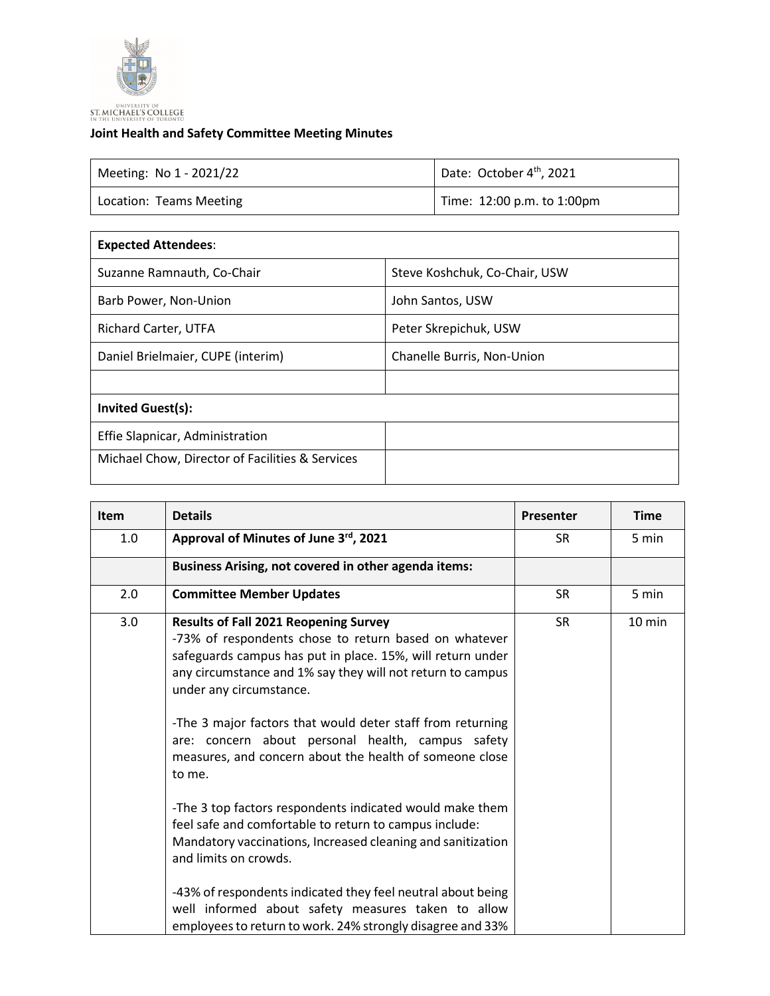

## **Joint Health and Safety Committee Meeting Minutes**

| Meeting: No 1 - 2021/22 | Date: October 4 <sup>th</sup> , 2021 |  |
|-------------------------|--------------------------------------|--|
| Location: Teams Meeting | Time: 12:00 p.m. to 1:00pm           |  |

| Steve Koshchuk, Co-Chair, USW |
|-------------------------------|
| John Santos, USW              |
| Peter Skrepichuk, USW         |
| Chanelle Burris, Non-Union    |
|                               |
|                               |
|                               |
|                               |
|                               |

| <b>Item</b> | <b>Details</b>                                                                                                                                                                                                                                                                                                                                                                                                                                       | Presenter | <b>Time</b> |
|-------------|------------------------------------------------------------------------------------------------------------------------------------------------------------------------------------------------------------------------------------------------------------------------------------------------------------------------------------------------------------------------------------------------------------------------------------------------------|-----------|-------------|
| 1.0         | Approval of Minutes of June 3rd, 2021                                                                                                                                                                                                                                                                                                                                                                                                                | <b>SR</b> | 5 min       |
|             | Business Arising, not covered in other agenda items:                                                                                                                                                                                                                                                                                                                                                                                                 |           |             |
| 2.0         | <b>Committee Member Updates</b>                                                                                                                                                                                                                                                                                                                                                                                                                      | <b>SR</b> | 5 min       |
| 3.0         | <b>Results of Fall 2021 Reopening Survey</b><br>-73% of respondents chose to return based on whatever<br>safeguards campus has put in place. 15%, will return under<br>any circumstance and 1% say they will not return to campus<br>under any circumstance.<br>-The 3 major factors that would deter staff from returning<br>are: concern about personal health, campus safety<br>measures, and concern about the health of someone close<br>to me. | <b>SR</b> | 10 min      |
|             | -The 3 top factors respondents indicated would make them<br>feel safe and comfortable to return to campus include:<br>Mandatory vaccinations, Increased cleaning and sanitization<br>and limits on crowds.<br>-43% of respondents indicated they feel neutral about being<br>well informed about safety measures taken to allow<br>employees to return to work. 24% strongly disagree and 33%                                                        |           |             |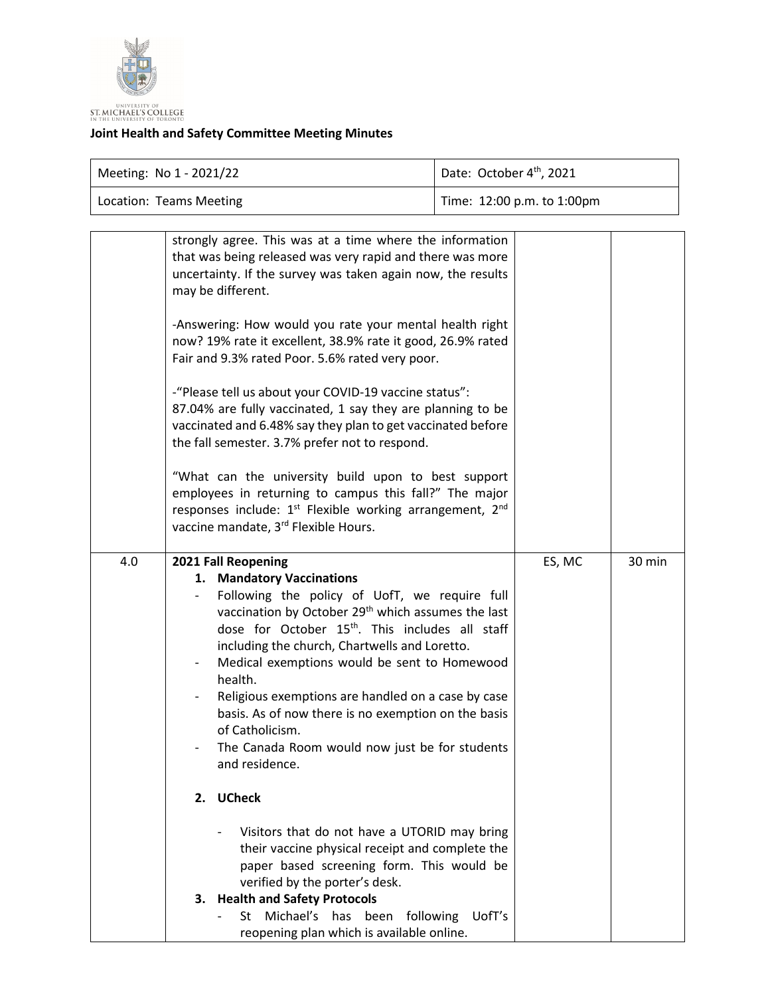

## **Joint Health and Safety Committee Meeting Minutes**

| Meeting: No 1 - 2021/22 | Date: October 4th, 2021    |  |
|-------------------------|----------------------------|--|
| Location: Teams Meeting | Time: 12:00 p.m. to 1:00pm |  |

|     | strongly agree. This was at a time where the information<br>that was being released was very rapid and there was more<br>uncertainty. If the survey was taken again now, the results<br>may be different.<br>-Answering: How would you rate your mental health right<br>now? 19% rate it excellent, 38.9% rate it good, 26.9% rated<br>Fair and 9.3% rated Poor. 5.6% rated very poor.<br>-"Please tell us about your COVID-19 vaccine status":<br>87.04% are fully vaccinated, 1 say they are planning to be<br>vaccinated and 6.48% say they plan to get vaccinated before<br>the fall semester. 3.7% prefer not to respond.<br>"What can the university build upon to best support<br>employees in returning to campus this fall?" The major<br>responses include: 1 <sup>st</sup> Flexible working arrangement, 2 <sup>nd</sup><br>vaccine mandate, 3rd Flexible Hours.               |        |        |
|-----|-------------------------------------------------------------------------------------------------------------------------------------------------------------------------------------------------------------------------------------------------------------------------------------------------------------------------------------------------------------------------------------------------------------------------------------------------------------------------------------------------------------------------------------------------------------------------------------------------------------------------------------------------------------------------------------------------------------------------------------------------------------------------------------------------------------------------------------------------------------------------------------------|--------|--------|
| 4.0 | 2021 Fall Reopening<br>1. Mandatory Vaccinations<br>Following the policy of UofT, we require full<br>vaccination by October 29 <sup>th</sup> which assumes the last<br>dose for October 15 <sup>th</sup> . This includes all staff<br>including the church, Chartwells and Loretto.<br>Medical exemptions would be sent to Homewood<br>health.<br>Religious exemptions are handled on a case by case<br>basis. As of now there is no exemption on the basis<br>of Catholicism.<br>The Canada Room would now just be for students<br>and residence.<br>2. UCheck<br>Visitors that do not have a UTORID may bring<br>their vaccine physical receipt and complete the<br>paper based screening form. This would be<br>verified by the porter's desk.<br>3. Health and Safety Protocols<br>Michael's<br>has<br>been<br>following<br>UofT's<br>St<br>reopening plan which is available online. | ES, MC | 30 min |